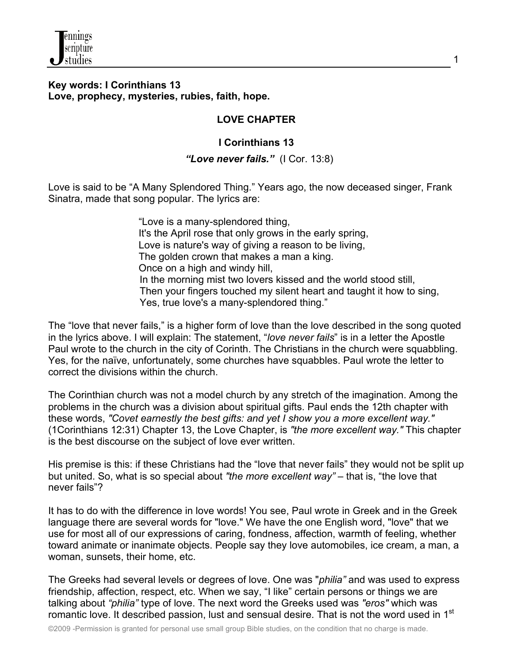

#### **Key words: I Corinthians 13 Love, prophecy, mysteries, rubies, faith, hope.**

### **LOVE CHAPTER**

## **I Corinthians 13**

#### *"Love never fails."* (I Cor. 13:8)

Love is said to be "A Many Splendored Thing." Years ago, the now deceased singer, Frank Sinatra, made that song popular. The lyrics are:

> "Love is a many-splendored thing, It's the April rose that only grows in the early spring, Love is nature's way of giving a reason to be living, The golden crown that makes a man a king. Once on a high and windy hill, In the morning mist two lovers kissed and the world stood still, Then your fingers touched my silent heart and taught it how to sing, Yes, true love's a many-splendored thing."

The "love that never fails," is a higher form of love than the love described in the song quoted in the lyrics above. I will explain: The statement, "*love never fails*" is in a letter the Apostle Paul wrote to the church in the city of Corinth. The Christians in the church were squabbling. Yes, for the naïve, unfortunately, some churches have squabbles. Paul wrote the letter to correct the divisions within the church.

The Corinthian church was not a model church by any stretch of the imagination. Among the problems in the church was a division about spiritual gifts. Paul ends the 12th chapter with these words, *"Covet earnestly the best gifts: and yet I show you a more excellent way."* (1Corinthians 12:31) Chapter 13, the Love Chapter, is *"the more excellent way."* This chapter is the best discourse on the subject of love ever written.

His premise is this: if these Christians had the "love that never fails" they would not be split up but united. So, what is so special about *"the more excellent way"* – that is, "the love that never fails"?

It has to do with the difference in love words! You see, Paul wrote in Greek and in the Greek language there are several words for "love." We have the one English word, "love" that we use for most all of our expressions of caring, fondness, affection, warmth of feeling, whether toward animate or inanimate objects. People say they love automobiles, ice cream, a man, a woman, sunsets, their home, etc.

The Greeks had several levels or degrees of love. One was "*philia"* and was used to express friendship, affection, respect, etc. When we say, "I like" certain persons or things we are talking about *"philia"* type of love. The next word the Greeks used was *"eros"* which was romantic love. It described passion, lust and sensual desire. That is not the word used in 1<sup>st</sup>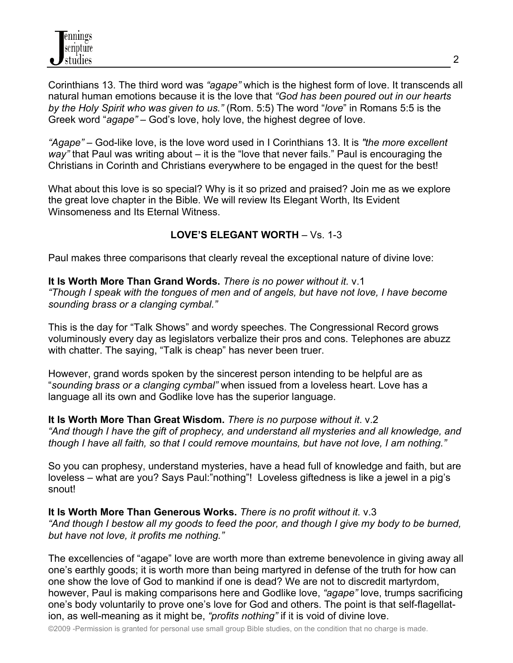Corinthians 13. The third word was *"agape"* which is the highest form of love. It transcends all natural human emotions because it is the love that *"God has been poured out in our hearts by the Holy Spirit who was given to us."* (Rom. 5:5) The word "*love*" in Romans 5:5 is the Greek word "*agape"* – God's love, holy love, the highest degree of love.

*"Agape"* – God-like love, is the love word used in I Corinthians 13. It is *"the more excellent way"* that Paul was writing about – it is the "love that never fails." Paul is encouraging the Christians in Corinth and Christians everywhere to be engaged in the quest for the best!

What about this love is so special? Why is it so prized and praised? Join me as we explore the great love chapter in the Bible. We will review Its Elegant Worth, Its Evident Winsomeness and Its Eternal Witness.

# **LOVE'S ELEGANT WORTH** – Vs. 1-3

Paul makes three comparisons that clearly reveal the exceptional nature of divine love:

**It Is Worth More Than Grand Words.** *There is no power without it.* v.1 *"Though I speak with the tongues of men and of angels, but have not love, I have become sounding brass or a clanging cymbal."*

This is the day for "Talk Shows" and wordy speeches. The Congressional Record grows voluminously every day as legislators verbalize their pros and cons. Telephones are abuzz with chatter. The saying, "Talk is cheap" has never been truer.

However, grand words spoken by the sincerest person intending to be helpful are as "*sounding brass or a clanging cymbal"* when issued from a loveless heart. Love has a language all its own and Godlike love has the superior language.

**It Is Worth More Than Great Wisdom.** *There is no purpose without it*. v.2 *"And though I have the gift of prophecy, and understand all mysteries and all knowledge, and though I have all faith, so that I could remove mountains, but have not love, I am nothing."*

So you can prophesy, understand mysteries, have a head full of knowledge and faith, but are loveless – what are you? Says Paul:"nothing"! Loveless giftedness is like a jewel in a pig's snout!

**It Is Worth More Than Generous Works.** *There is no profit without it.* v.3 *"And though I bestow all my goods to feed the poor, and though I give my body to be burned, but have not love, it profits me nothing."*

The excellencies of "agape" love are worth more than extreme benevolence in giving away all one's earthly goods; it is worth more than being martyred in defense of the truth for how can one show the love of God to mankind if one is dead? We are not to discredit martyrdom, however, Paul is making comparisons here and Godlike love, *"agape"* love, trumps sacrificing one's body voluntarily to prove one's love for God and others. The point is that self-flagellation, as well-meaning as it might be, *"profits nothing"* if it is void of divine love.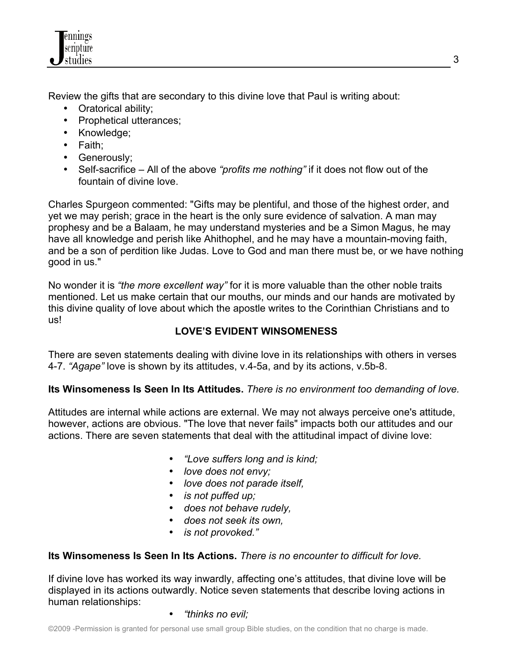

Review the gifts that are secondary to this divine love that Paul is writing about:

- Oratorical ability;
- Prophetical utterances;
- Knowledge;
- Faith;
- Generously;
- Self-sacrifice All of the above *"profits me nothing"* if it does not flow out of the fountain of divine love.

Charles Spurgeon commented: "Gifts may be plentiful, and those of the highest order, and yet we may perish; grace in the heart is the only sure evidence of salvation. A man may prophesy and be a Balaam, he may understand mysteries and be a Simon Magus, he may have all knowledge and perish like Ahithophel, and he may have a mountain-moving faith, and be a son of perdition like Judas. Love to God and man there must be, or we have nothing good in us."

No wonder it is *"the more excellent way"* for it is more valuable than the other noble traits mentioned. Let us make certain that our mouths, our minds and our hands are motivated by this divine quality of love about which the apostle writes to the Corinthian Christians and to us!

# **LOVE'S EVIDENT WINSOMENESS**

There are seven statements dealing with divine love in its relationships with others in verses 4-7. *"Agape"* love is shown by its attitudes, v.4-5a, and by its actions, v.5b-8.

# **Its Winsomeness Is Seen In Its Attitudes.** *There is no environment too demanding of love.*

Attitudes are internal while actions are external. We may not always perceive one's attitude, however, actions are obvious. "The love that never fails" impacts both our attitudes and our actions. There are seven statements that deal with the attitudinal impact of divine love:

- *"Love suffers long and is kind;*
- *love does not envy;*
- *love does not parade itself,*
- *is not puffed up;*
- *does not behave rudely,*
- *does not seek its own,*
- *is not provoked."*

# **Its Winsomeness Is Seen In Its Actions.** *There is no encounter to difficult for love.*

If divine love has worked its way inwardly, affecting one's attitudes, that divine love will be displayed in its actions outwardly. Notice seven statements that describe loving actions in human relationships:

• *"thinks no evil;*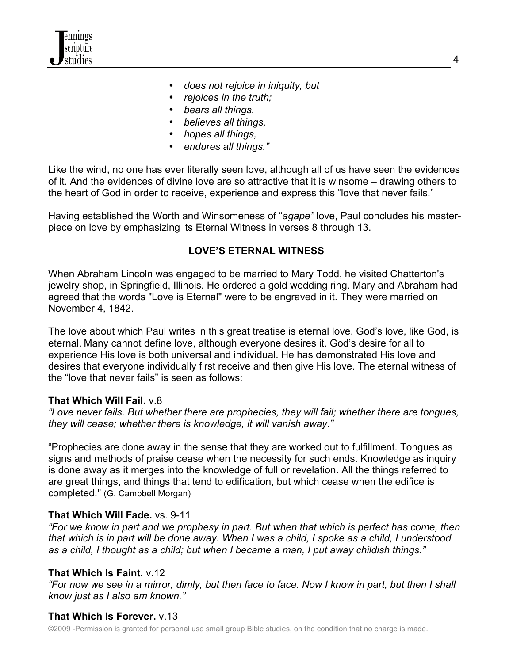

- *does not rejoice in iniquity, but*
- *rejoices in the truth;*
- *bears all things,*
- *believes all things,*
- *hopes all things,*
- *endures all things."*

Like the wind, no one has ever literally seen love, although all of us have seen the evidences of it. And the evidences of divine love are so attractive that it is winsome – drawing others to the heart of God in order to receive, experience and express this "love that never fails."

Having established the Worth and Winsomeness of "*agape"* love, Paul concludes his masterpiece on love by emphasizing its Eternal Witness in verses 8 through 13.

### **LOVE'S ETERNAL WITNESS**

When Abraham Lincoln was engaged to be married to Mary Todd, he visited Chatterton's jewelry shop, in Springfield, Illinois. He ordered a gold wedding ring. Mary and Abraham had agreed that the words "Love is Eternal" were to be engraved in it. They were married on November 4, 1842.

The love about which Paul writes in this great treatise is eternal love. God's love, like God, is eternal. Many cannot define love, although everyone desires it. God's desire for all to experience His love is both universal and individual. He has demonstrated His love and desires that everyone individually first receive and then give His love. The eternal witness of the "love that never fails" is seen as follows:

### **That Which Will Fail.** v.8

*"Love never fails. But whether there are prophecies, they will fail; whether there are tongues, they will cease; whether there is knowledge, it will vanish away."*

"Prophecies are done away in the sense that they are worked out to fulfillment. Tongues as signs and methods of praise cease when the necessity for such ends. Knowledge as inquiry is done away as it merges into the knowledge of full or revelation. All the things referred to are great things, and things that tend to edification, but which cease when the edifice is completed." (G. Campbell Morgan)

### **That Which Will Fade.** vs. 9-11

*"For we know in part and we prophesy in part. But when that which is perfect has come, then that which is in part will be done away. When I was a child, I spoke as a child, I understood as a child, I thought as a child; but when I became a man, I put away childish things."*

### **That Which Is Faint.** v.12

*"For now we see in a mirror, dimly, but then face to face. Now I know in part, but then I shall know just as I also am known."*

# **That Which Is Forever.** v.13

©2009 -Permission is granted for personal use small group Bible studies, on the condition that no charge is made.